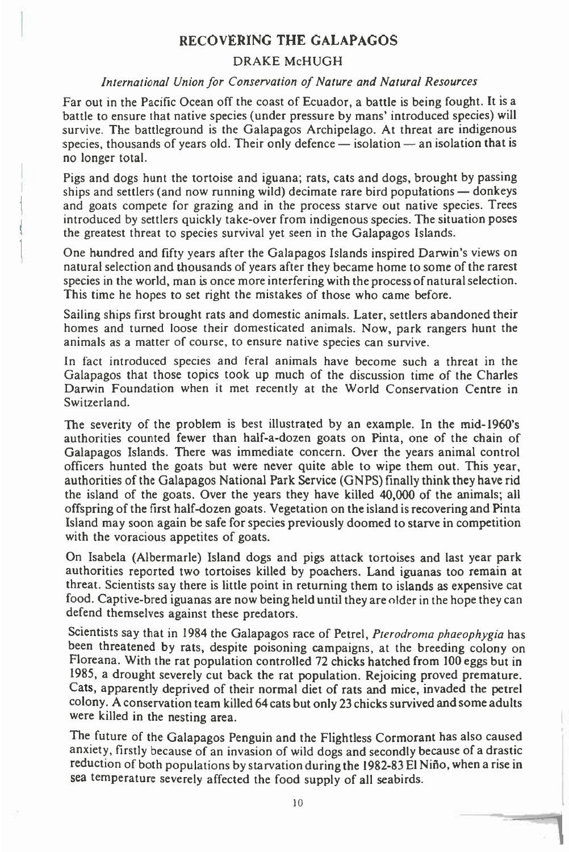## **RECOVERING THE GALAPAGOS**

## DRAKE McHUGH

## *International Union for Conservation of Nature and Natural Resources*

Far out in the Pacific Ocean off the coast of Ecuador, a battle is being fought. It is a battle to ensure that native species (under pressure by mans' introduced species) will survive. The battleground is the Galapagos Archipelago. At threat are indigenous species, thousands of years old. Their only defence — isolation — an isolation that is no longer total.

Pigs and dogs hunt the tortoise and iguana; rats, cats and dogs, brought by passing ships and settlers (and now running wild) decimate rare bird populations — donkeys and goats compete for grazing and in the process starve out native species. Trees introduced by settlers quickly take-over from indigenous species. The situation poses the greatest threat to species survival yet seen in the Galapagos Islands.

One hundred and fifty years after the Galapagos Islands inspired Darwin's views on natural selection and thousands of years after they became home to some of the rarest species in the world, man is once more interfering with the process of natural selection. This time he hopes to set right the mistakes of those who came before.

Sailing ships first brought rats and domestic animals. Later, settlers abandoned their homes and turned loose their domesticated animals. Now, park rangers hunt the animals as a matter of course, to ensure native species can survive.

In fact introduced species and feral animals have become such a threat in the Galapagos that those topics took up much of the discussion time of the Charles Darwin Foundation when it met recently at the World Conservation Centre in Switzerland.

The severity of the problem is best illustrated by an example. In the mid-1960's authorities counted fewer than half-a-dozen goats on Pinta, one of the chain of Galapagos Islands. There was immediate concern. Over the years animal control officers hunted the goats but were never quite able to wipe them out. This year, authorities of the Galapagos National Park Service (GNPS) finally think they have rid the island of the goats. Over the years they have killed 40,000 of the animals; all offspring of the first half-dozen goats. Vegetation on the island is recovering and Pinta Island may soon again be safe for species previously doomed to starve in competition with the voracious appetites of goats.

On Isabela (Albermarle) Island dogs and pigs attack tortoises and last year park authorities reported two tortoises killed by poachers. Land iguanas too remain at threat. Scientists say there is little point in returning them to islands as expensive cat food. Captive-bred iguanas are now being held until they are older in the hope they can defend themselves against these predators.

Scientists say that in 1984 the Galapagos race of Petrel, *Pterodroma phaeophygia* has been threatened by rats, despite poisoning campaigns, at the breeding colony on Floreana. With the rat population controlled 72 chicks hatched from 100 eggs but in 1985, a drought severely cut back the rat population. Rejoicing proved premature. Cats, apparently deprived of their normal diet of rats and mice, invaded the petrel colony. A conservation team killed 64 cats but only 23 chicks survived and some adults were killed in the nesting area.

The future of the Galapagos Penguin and the Flightless Cormorant has also caused anxiety, firstly because of an invasion of wild dogs and secondly because of a drastic reduction of both populations by starvation during the 1982-83 El Nino, when a rise in sea temperature severely affected the food supply of all seabirds.

10